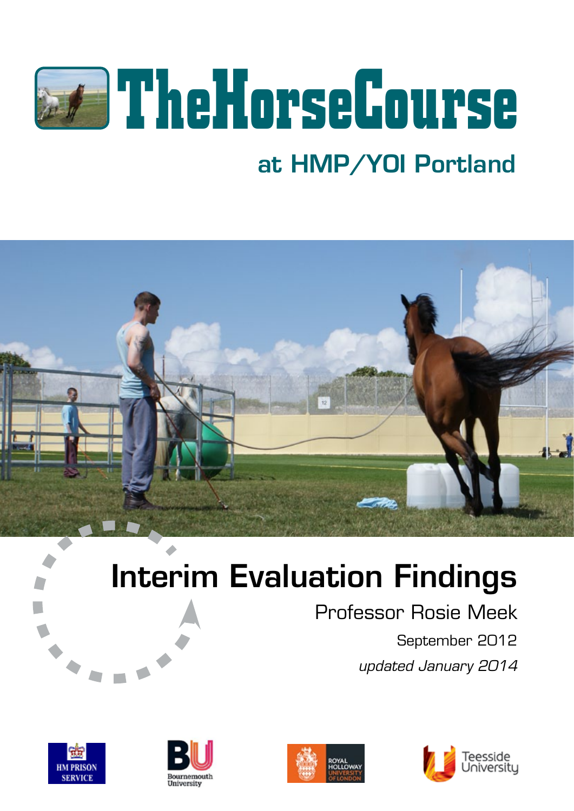

## at HMP/YOI Portland



# Interim Evaluation Findings

Professor Rosie Meek September 2012 *updated January 2014*







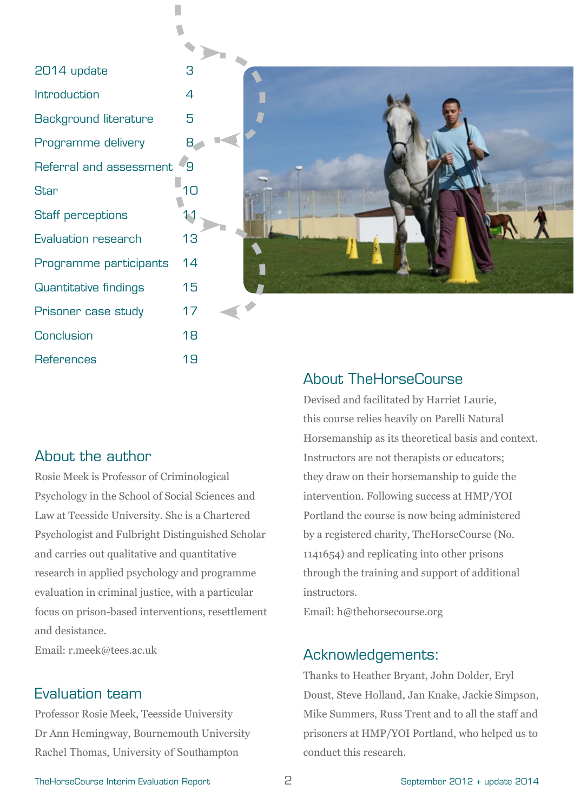| 2014 update                  | З              |
|------------------------------|----------------|
| Introduction                 | 4              |
| <b>Background literature</b> | 5              |
| Programme delivery           | 8              |
| Referral and assessment      | q              |
| <b>Star</b>                  | 1 <sub>0</sub> |
| <b>Staff perceptions</b>     |                |
| Evaluation research          | 13             |
| Programme participants       | 14             |
| <b>Quantitative findings</b> | 15             |
| Prisoner case study          | 17             |
| <b>Conclusion</b>            | 18             |
| <b>References</b>            | 19             |
|                              |                |

 $\Box$ 



#### About the author

Rosie Meek is Professor of Criminological Psychology in the School of Social Sciences and Law at Teesside University. She is a Chartered Psychologist and Fulbright Distinguished Scholar and carries out qualitative and quantitative research in applied psychology and programme evaluation in criminal justice, with a particular focus on prison-based interventions, resettlement and desistance.

Email: r.meek@tees.ac.uk

## Evaluation team

Professor Rosie Meek, Teesside University Dr Ann Hemingway, Bournemouth University Rachel Thomas, University of Southampton

## About TheHorseCourse

Devised and facilitated by Harriet Laurie, this course relies heavily on Parelli Natural Horsemanship as its theoretical basis and context. Instructors are not therapists or educators; they draw on their horsemanship to guide the intervention. Following success at HMP/YOI Portland the course is now being administered by a registered charity, TheHorseCourse (No. 1141654) and replicating into other prisons through the training and support of additional instructors.

Email: h@thehorsecourse.org

#### Acknowledgements:

Thanks to Heather Bryant, John Dolder, Eryl Doust, Steve Holland, Jan Knake, Jackie Simpson, Mike Summers, Russ Trent and to all the staff and prisoners at HMP/YOI Portland, who helped us to conduct this research.

TheHorseCourse Interim Evaluation Report 2 2 September 2012 + update 2014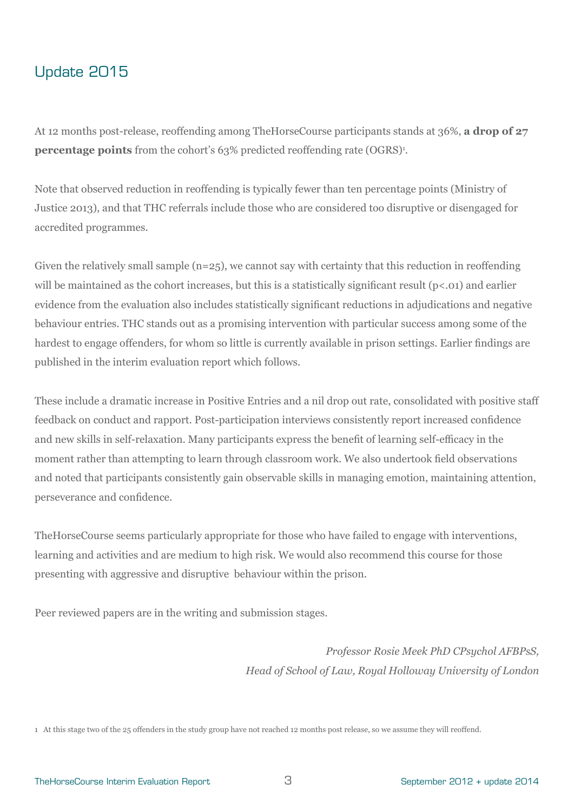## Update 2015

At 12 months post-release, reoffending among TheHorseCourse participants stands at 36%, **a drop of 27 percentage points** from the cohort's 63% predicted reoffending rate (OGRS)<sup>1</sup>.

Note that observed reduction in reoffending is typically fewer than ten percentage points (Ministry of Justice 2013), and that THC referrals include those who are considered too disruptive or disengaged for accredited programmes.

Given the relatively small sample  $(n=25)$ , we cannot say with certainty that this reduction in reoffending will be maintained as the cohort increases, but this is a statistically significant result  $(p<0.01)$  and earlier evidence from the evaluation also includes statistically significant reductions in adjudications and negative behaviour entries. THC stands out as a promising intervention with particular success among some of the hardest to engage offenders, for whom so little is currently available in prison settings. Earlier findings are published in the interim evaluation report which follows.

These include a dramatic increase in Positive Entries and a nil drop out rate, consolidated with positive staff feedback on conduct and rapport. Post-participation interviews consistently report increased confidence and new skills in self-relaxation. Many participants express the benefit of learning self-efficacy in the moment rather than attempting to learn through classroom work. We also undertook field observations and noted that participants consistently gain observable skills in managing emotion, maintaining attention, perseverance and confidence.

TheHorseCourse seems particularly appropriate for those who have failed to engage with interventions, learning and activities and are medium to high risk. We would also recommend this course for those presenting with aggressive and disruptive behaviour within the prison.

Peer reviewed papers are in the writing and submission stages.

*Professor Rosie Meek PhD CPsychol AFBPsS, Head of School of Law, Royal Holloway University of London*

1 At this stage two of the 25 offenders in the study group have not reached 12 months post release, so we assume they will reoffend.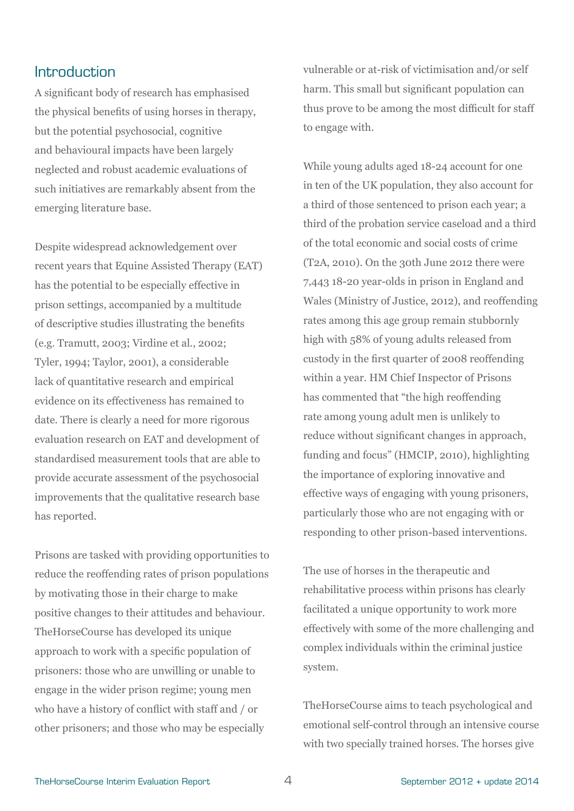## **Introduction**

A significant body of research has emphasised the physical benefits of using horses in therapy, but the potential psychosocial, cognitive and behavioural impacts have been largely neglected and robust academic evaluations of such initiatives are remarkably absent from the emerging literature base.

Despite widespread acknowledgement over recent years that Equine Assisted Therapy (EAT) has the potential to be especially effective in prison settings, accompanied by a multitude of descriptive studies illustrating the benefits (e.g. Tramutt, 2003; Virdine et al., 2002; Tyler, 1994; Taylor, 2001), a considerable lack of quantitative research and empirical evidence on its effectiveness has remained to date. There is clearly a need for more rigorous evaluation research on EAT and development of standardised measurement tools that are able to provide accurate assessment of the psychosocial improvements that the qualitative research base has reported.

Prisons are tasked with providing opportunities to reduce the reoffending rates of prison populations by motivating those in their charge to make positive changes to their attitudes and behaviour. TheHorseCourse has developed its unique approach to work with a specific population of prisoners: those who are unwilling or unable to engage in the wider prison regime; young men who have a history of conflict with staff and / or other prisoners; and those who may be especially

vulnerable or at-risk of victimisation and/or self harm. This small but significant population can thus prove to be among the most difficult for staff to engage with.

While young adults aged 18-24 account for one in ten of the UK population, they also account for a third of those sentenced to prison each year; a third of the probation service caseload and a third of the total economic and social costs of crime (T2A, 2010). On the 30th June 2012 there were 7,443 18-20 year-olds in prison in England and Wales (Ministry of Justice, 2012), and reoffending rates among this age group remain stubbornly high with 58% of young adults released from custody in the first quarter of 2008 reoffending within a year. HM Chief Inspector of Prisons has commented that "the high reoffending rate among young adult men is unlikely to reduce without significant changes in approach, funding and focus" (HMCIP, 2010), highlighting the importance of exploring innovative and effective ways of engaging with young prisoners, particularly those who are not engaging with or responding to other prison-based interventions.

The use of horses in the therapeutic and rehabilitative process within prisons has clearly facilitated a unique opportunity to work more effectively with some of the more challenging and complex individuals within the criminal justice system.

TheHorseCourse aims to teach psychological and emotional self-control through an intensive course with two specially trained horses. The horses give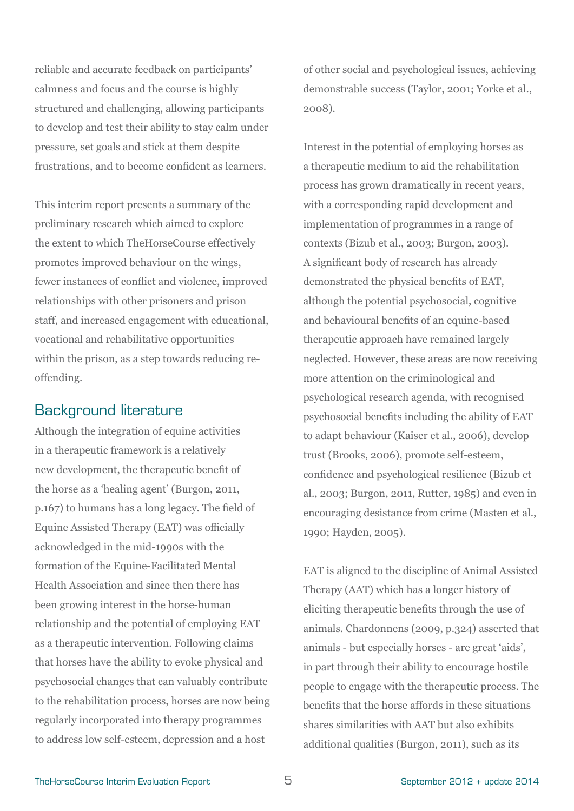reliable and accurate feedback on participants' calmness and focus and the course is highly structured and challenging, allowing participants to develop and test their ability to stay calm under pressure, set goals and stick at them despite frustrations, and to become confident as learners.

This interim report presents a summary of the preliminary research which aimed to explore the extent to which TheHorseCourse effectively promotes improved behaviour on the wings, fewer instances of conflict and violence, improved relationships with other prisoners and prison staff, and increased engagement with educational, vocational and rehabilitative opportunities within the prison, as a step towards reducing reoffending.

## Background literature

Although the integration of equine activities in a therapeutic framework is a relatively new development, the therapeutic benefit of the horse as a 'healing agent' (Burgon, 2011, p.167) to humans has a long legacy. The field of Equine Assisted Therapy (EAT) was officially acknowledged in the mid-1990s with the formation of the Equine-Facilitated Mental Health Association and since then there has been growing interest in the horse-human relationship and the potential of employing EAT as a therapeutic intervention. Following claims that horses have the ability to evoke physical and psychosocial changes that can valuably contribute to the rehabilitation process, horses are now being regularly incorporated into therapy programmes to address low self-esteem, depression and a host

of other social and psychological issues, achieving demonstrable success (Taylor, 2001; Yorke et al., 2008).

Interest in the potential of employing horses as a therapeutic medium to aid the rehabilitation process has grown dramatically in recent years, with a corresponding rapid development and implementation of programmes in a range of contexts (Bizub et al., 2003; Burgon, 2003). A significant body of research has already demonstrated the physical benefits of EAT, although the potential psychosocial, cognitive and behavioural benefits of an equine-based therapeutic approach have remained largely neglected. However, these areas are now receiving more attention on the criminological and psychological research agenda, with recognised psychosocial benefits including the ability of EAT to adapt behaviour (Kaiser et al., 2006), develop trust (Brooks, 2006), promote self-esteem, confidence and psychological resilience (Bizub et al., 2003; Burgon, 2011, Rutter, 1985) and even in encouraging desistance from crime (Masten et al., 1990; Hayden, 2005).

EAT is aligned to the discipline of Animal Assisted Therapy (AAT) which has a longer history of eliciting therapeutic benefits through the use of animals. Chardonnens (2009, p.324) asserted that animals - but especially horses - are great 'aids', in part through their ability to encourage hostile people to engage with the therapeutic process. The benefits that the horse affords in these situations shares similarities with AAT but also exhibits additional qualities (Burgon, 2011), such as its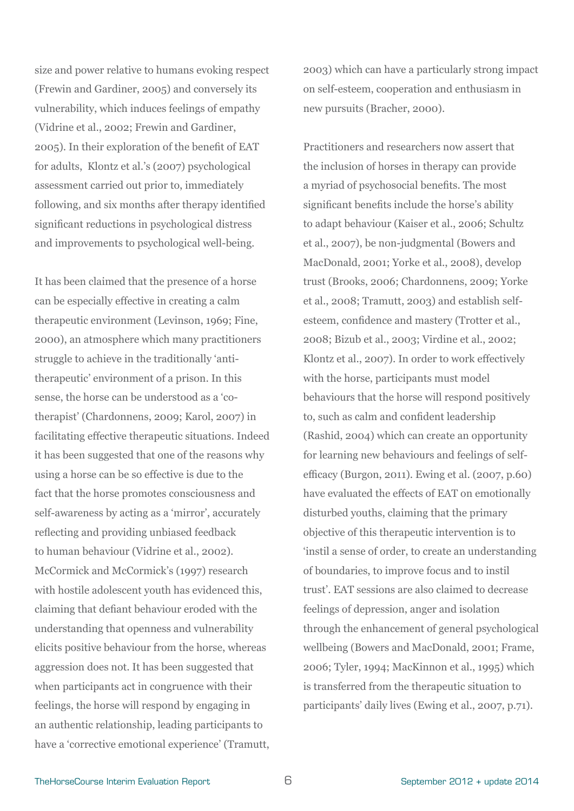size and power relative to humans evoking respect (Frewin and Gardiner, 2005) and conversely its vulnerability, which induces feelings of empathy (Vidrine et al., 2002; Frewin and Gardiner, 2005). In their exploration of the benefit of EAT for adults, Klontz et al.'s (2007) psychological assessment carried out prior to, immediately following, and six months after therapy identified significant reductions in psychological distress and improvements to psychological well-being.

It has been claimed that the presence of a horse can be especially effective in creating a calm therapeutic environment (Levinson, 1969; Fine, 2000), an atmosphere which many practitioners struggle to achieve in the traditionally 'antitherapeutic' environment of a prison. In this sense, the horse can be understood as a 'cotherapist' (Chardonnens, 2009; Karol, 2007) in facilitating effective therapeutic situations. Indeed it has been suggested that one of the reasons why using a horse can be so effective is due to the fact that the horse promotes consciousness and self-awareness by acting as a 'mirror', accurately reflecting and providing unbiased feedback to human behaviour (Vidrine et al., 2002). McCormick and McCormick's (1997) research with hostile adolescent youth has evidenced this, claiming that defiant behaviour eroded with the understanding that openness and vulnerability elicits positive behaviour from the horse, whereas aggression does not. It has been suggested that when participants act in congruence with their feelings, the horse will respond by engaging in an authentic relationship, leading participants to have a 'corrective emotional experience' (Tramutt,

2003) which can have a particularly strong impact on self-esteem, cooperation and enthusiasm in new pursuits (Bracher, 2000).

Practitioners and researchers now assert that the inclusion of horses in therapy can provide a myriad of psychosocial benefits. The most significant benefits include the horse's ability to adapt behaviour (Kaiser et al., 2006; Schultz et al., 2007), be non-judgmental (Bowers and MacDonald, 2001; Yorke et al., 2008), develop trust (Brooks, 2006; Chardonnens, 2009; Yorke et al., 2008; Tramutt, 2003) and establish selfesteem, confidence and mastery (Trotter et al., 2008; Bizub et al., 2003; Virdine et al., 2002; Klontz et al., 2007). In order to work effectively with the horse, participants must model behaviours that the horse will respond positively to, such as calm and confident leadership (Rashid, 2004) which can create an opportunity for learning new behaviours and feelings of selfefficacy (Burgon, 2011). Ewing et al. (2007, p.60) have evaluated the effects of EAT on emotionally disturbed youths, claiming that the primary objective of this therapeutic intervention is to 'instil a sense of order, to create an understanding of boundaries, to improve focus and to instil trust'. EAT sessions are also claimed to decrease feelings of depression, anger and isolation through the enhancement of general psychological wellbeing (Bowers and MacDonald, 2001; Frame, 2006; Tyler, 1994; MacKinnon et al., 1995) which is transferred from the therapeutic situation to participants' daily lives (Ewing et al., 2007, p.71).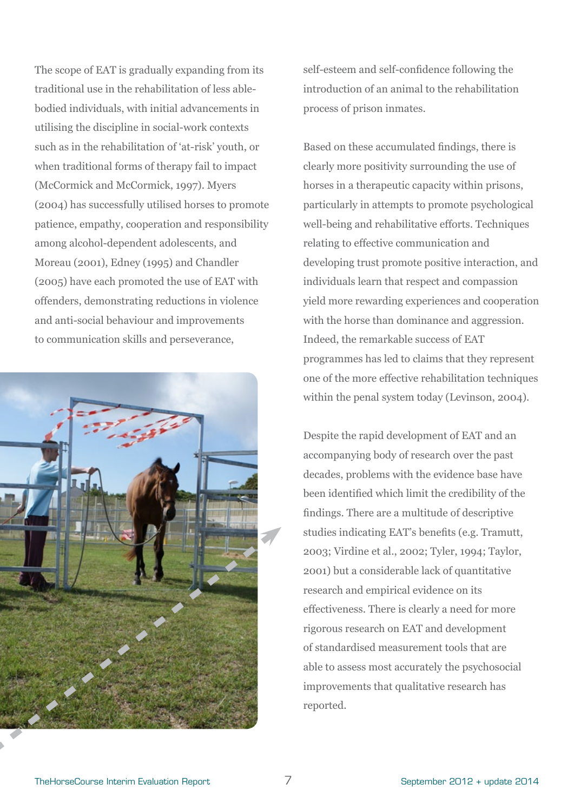The scope of EAT is gradually expanding from its traditional use in the rehabilitation of less ablebodied individuals, with initial advancements in utilising the discipline in social-work contexts such as in the rehabilitation of 'at-risk' youth, or when traditional forms of therapy fail to impact (McCormick and McCormick, 1997). Myers (2004) has successfully utilised horses to promote patience, empathy, cooperation and responsibility among alcohol-dependent adolescents, and Moreau (2001), Edney (1995) and Chandler (2005) have each promoted the use of EAT with offenders, demonstrating reductions in violence and anti-social behaviour and improvements to communication skills and perseverance,



self-esteem and self-confidence following the introduction of an animal to the rehabilitation process of prison inmates.

Based on these accumulated findings, there is clearly more positivity surrounding the use of horses in a therapeutic capacity within prisons, particularly in attempts to promote psychological well-being and rehabilitative efforts. Techniques relating to effective communication and developing trust promote positive interaction, and individuals learn that respect and compassion yield more rewarding experiences and cooperation with the horse than dominance and aggression. Indeed, the remarkable success of EAT programmes has led to claims that they represent one of the more effective rehabilitation techniques within the penal system today (Levinson, 2004).

Despite the rapid development of EAT and an accompanying body of research over the past decades, problems with the evidence base have been identified which limit the credibility of the findings. There are a multitude of descriptive studies indicating EAT's benefits (e.g. Tramutt, 2003; Virdine et al., 2002; Tyler, 1994; Taylor, 2001) but a considerable lack of quantitative research and empirical evidence on its effectiveness. There is clearly a need for more rigorous research on EAT and development of standardised measurement tools that are able to assess most accurately the psychosocial improvements that qualitative research has reported.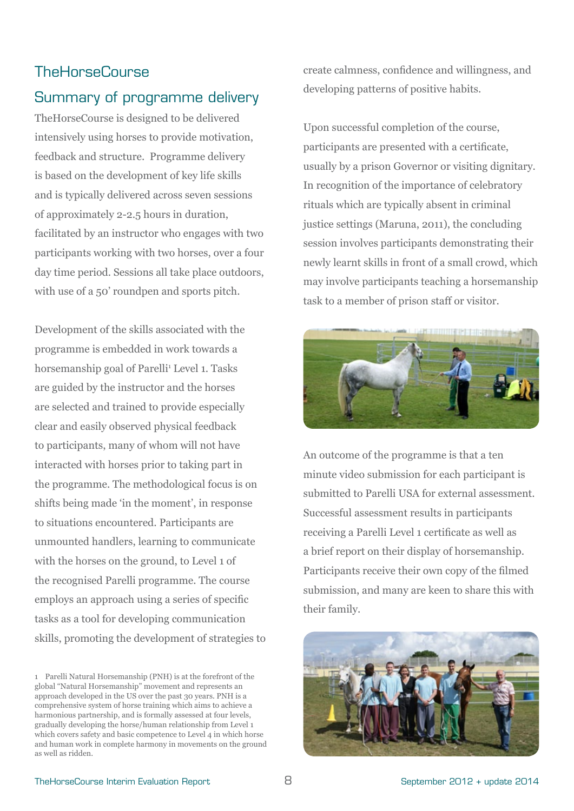## **TheHorseCourse**

## Summary of programme delivery

TheHorseCourse is designed to be delivered intensively using horses to provide motivation, feedback and structure. Programme delivery is based on the development of key life skills and is typically delivered across seven sessions of approximately 2-2.5 hours in duration, facilitated by an instructor who engages with two participants working with two horses, over a four day time period. Sessions all take place outdoors, with use of a 50' roundpen and sports pitch.

Development of the skills associated with the programme is embedded in work towards a horsemanship goal of Parelli<sup>1</sup> Level 1. Tasks are guided by the instructor and the horses are selected and trained to provide especially clear and easily observed physical feedback to participants, many of whom will not have interacted with horses prior to taking part in the programme. The methodological focus is on shifts being made 'in the moment', in response to situations encountered. Participants are unmounted handlers, learning to communicate with the horses on the ground, to Level 1 of the recognised Parelli programme. The course employs an approach using a series of specific tasks as a tool for developing communication skills, promoting the development of strategies to create calmness, confidence and willingness, and developing patterns of positive habits.

Upon successful completion of the course, participants are presented with a certificate, usually by a prison Governor or visiting dignitary. In recognition of the importance of celebratory rituals which are typically absent in criminal justice settings (Maruna, 2011), the concluding session involves participants demonstrating their newly learnt skills in front of a small crowd, which may involve participants teaching a horsemanship task to a member of prison staff or visitor.



An outcome of the programme is that a ten minute video submission for each participant is submitted to Parelli USA for external assessment. Successful assessment results in participants receiving a Parelli Level 1 certificate as well as a brief report on their display of horsemanship. Participants receive their own copy of the filmed submission, and many are keen to share this with their family.



<sup>1</sup> Parelli Natural Horsemanship (PNH) is at the forefront of the global "Natural Horsemanship" movement and represents an approach developed in the US over the past 30 years. PNH is a comprehensive system of horse training which aims to achieve a harmonious partnership, and is formally assessed at four levels, gradually developing the horse/human relationship from Level 1 which covers safety and basic competence to Level 4 in which horse and human work in complete harmony in movements on the ground as well as ridden.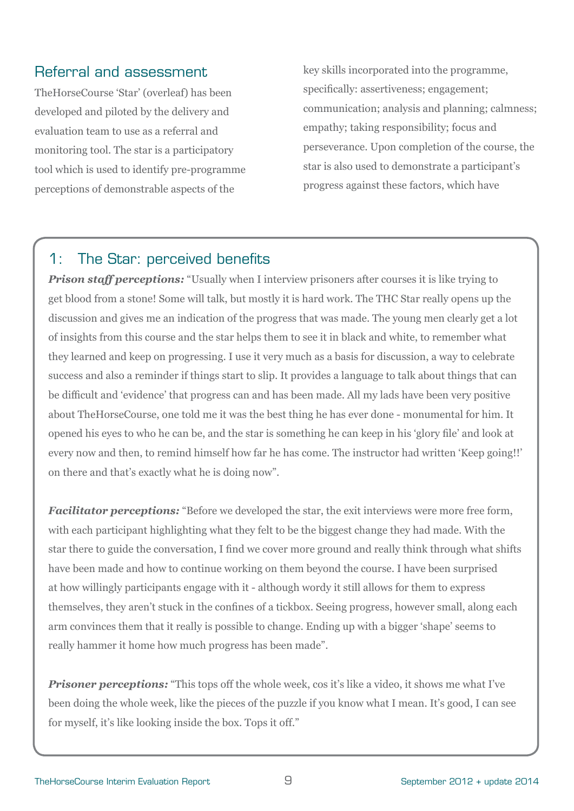## Referral and assessment

TheHorseCourse 'Star' (overleaf) has been developed and piloted by the delivery and evaluation team to use as a referral and monitoring tool. The star is a participatory tool which is used to identify pre-programme perceptions of demonstrable aspects of the

key skills incorporated into the programme, specifically: assertiveness; engagement; communication; analysis and planning; calmness; empathy; taking responsibility; focus and perseverance. Upon completion of the course, the star is also used to demonstrate a participant's progress against these factors, which have

## 1: The Star: perceived benefits

*Prison staff perceptions:* "Usually when I interview prisoners after courses it is like trying to get blood from a stone! Some will talk, but mostly it is hard work. The THC Star really opens up the discussion and gives me an indication of the progress that was made. The young men clearly get a lot of insights from this course and the star helps them to see it in black and white, to remember what they learned and keep on progressing. I use it very much as a basis for discussion, a way to celebrate success and also a reminder if things start to slip. It provides a language to talk about things that can be difficult and 'evidence' that progress can and has been made. All my lads have been very positive about TheHorseCourse, one told me it was the best thing he has ever done - monumental for him. It opened his eyes to who he can be, and the star is something he can keep in his 'glory file' and look at every now and then, to remind himself how far he has come. The instructor had written 'Keep going!!' on there and that's exactly what he is doing now".

*Facilitator perceptions:* "Before we developed the star, the exit interviews were more free form, with each participant highlighting what they felt to be the biggest change they had made. With the star there to guide the conversation, I find we cover more ground and really think through what shifts have been made and how to continue working on them beyond the course. I have been surprised at how willingly participants engage with it - although wordy it still allows for them to express themselves, they aren't stuck in the confines of a tickbox. Seeing progress, however small, along each arm convinces them that it really is possible to change. Ending up with a bigger 'shape' seems to really hammer it home how much progress has been made".

*Prisoner perceptions:* "This tops off the whole week, cos it's like a video, it shows me what I've been doing the whole week, like the pieces of the puzzle if you know what I mean. It's good, I can see for myself, it's like looking inside the box. Tops it off."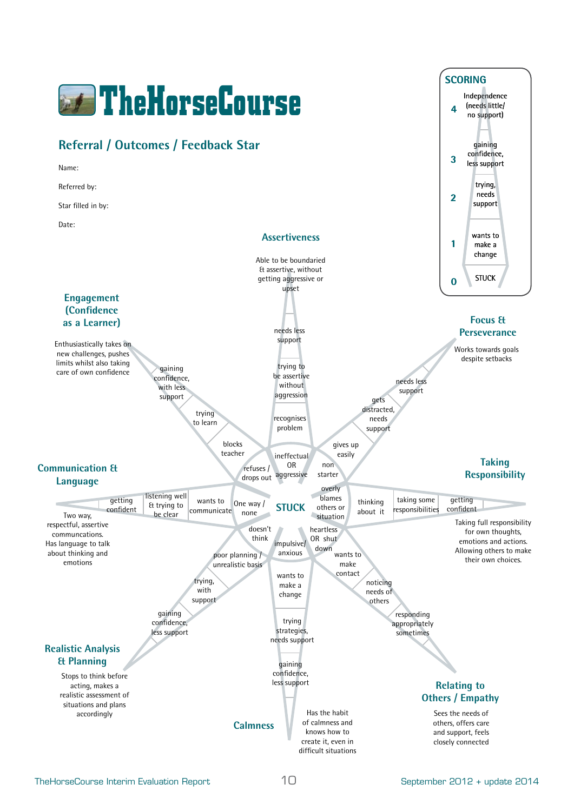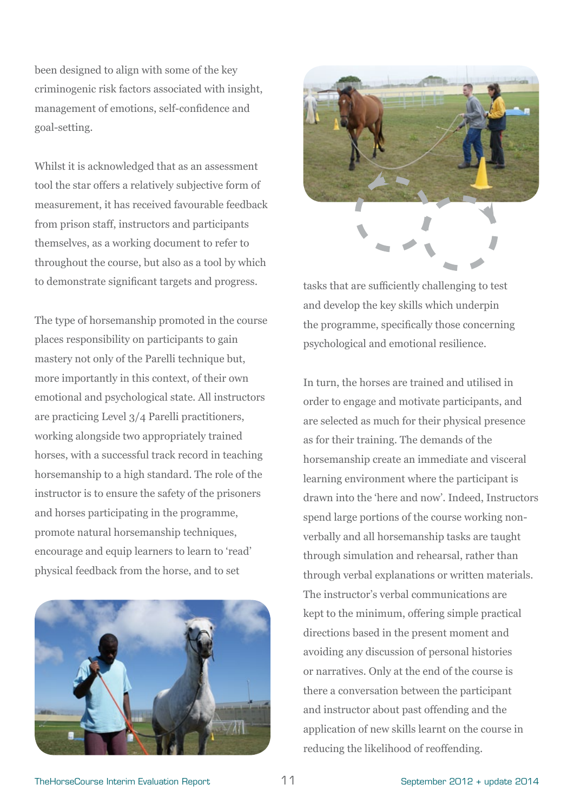been designed to align with some of the key criminogenic risk factors associated with insight, management of emotions, self-confidence and goal-setting.

Whilst it is acknowledged that as an assessment tool the star offers a relatively subjective form of measurement, it has received favourable feedback from prison staff, instructors and participants themselves, as a working document to refer to throughout the course, but also as a tool by which to demonstrate significant targets and progress.

The type of horsemanship promoted in the course places responsibility on participants to gain mastery not only of the Parelli technique but, more importantly in this context, of their own emotional and psychological state. All instructors are practicing Level 3/4 Parelli practitioners, working alongside two appropriately trained horses, with a successful track record in teaching horsemanship to a high standard. The role of the instructor is to ensure the safety of the prisoners and horses participating in the programme, promote natural horsemanship techniques, encourage and equip learners to learn to 'read' physical feedback from the horse, and to set





tasks that are sufficiently challenging to test and develop the key skills which underpin the programme, specifically those concerning psychological and emotional resilience.

In turn, the horses are trained and utilised in order to engage and motivate participants, and are selected as much for their physical presence as for their training. The demands of the horsemanship create an immediate and visceral learning environment where the participant is drawn into the 'here and now'. Indeed, Instructors spend large portions of the course working nonverbally and all horsemanship tasks are taught through simulation and rehearsal, rather than through verbal explanations or written materials. The instructor's verbal communications are kept to the minimum, offering simple practical directions based in the present moment and avoiding any discussion of personal histories or narratives. Only at the end of the course is there a conversation between the participant and instructor about past offending and the application of new skills learnt on the course in reducing the likelihood of reoffending.

TheHorseCourse Interim Evaluation Report 11 1 September 2012 + update 2014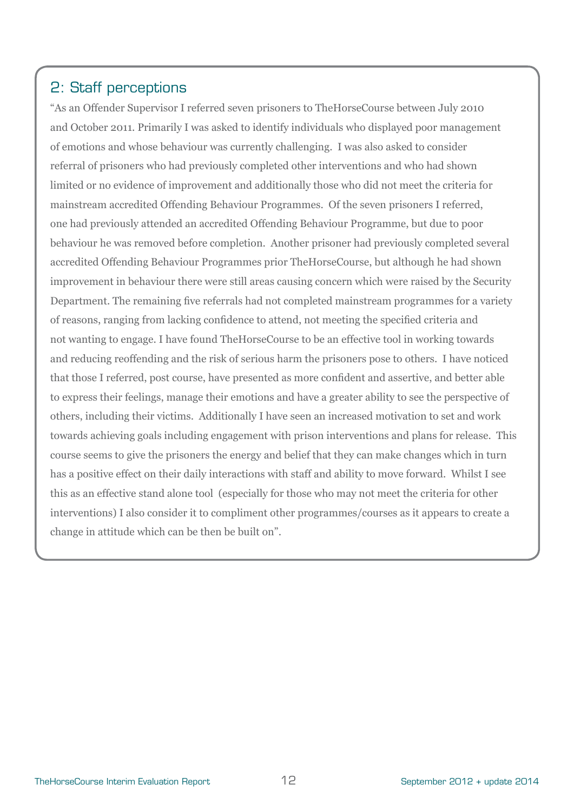## 2: Staff perceptions

"As an Offender Supervisor I referred seven prisoners to TheHorseCourse between July 2010 and October 2011. Primarily I was asked to identify individuals who displayed poor management of emotions and whose behaviour was currently challenging. I was also asked to consider referral of prisoners who had previously completed other interventions and who had shown limited or no evidence of improvement and additionally those who did not meet the criteria for mainstream accredited Offending Behaviour Programmes. Of the seven prisoners I referred, one had previously attended an accredited Offending Behaviour Programme, but due to poor behaviour he was removed before completion. Another prisoner had previously completed several accredited Offending Behaviour Programmes prior TheHorseCourse, but although he had shown improvement in behaviour there were still areas causing concern which were raised by the Security Department. The remaining five referrals had not completed mainstream programmes for a variety of reasons, ranging from lacking confidence to attend, not meeting the specified criteria and not wanting to engage. I have found TheHorseCourse to be an effective tool in working towards and reducing reoffending and the risk of serious harm the prisoners pose to others. I have noticed that those I referred, post course, have presented as more confident and assertive, and better able to express their feelings, manage their emotions and have a greater ability to see the perspective of others, including their victims. Additionally I have seen an increased motivation to set and work towards achieving goals including engagement with prison interventions and plans for release. This course seems to give the prisoners the energy and belief that they can make changes which in turn has a positive effect on their daily interactions with staff and ability to move forward. Whilst I see this as an effective stand alone tool (especially for those who may not meet the criteria for other interventions) I also consider it to compliment other programmes/courses as it appears to create a change in attitude which can be then be built on".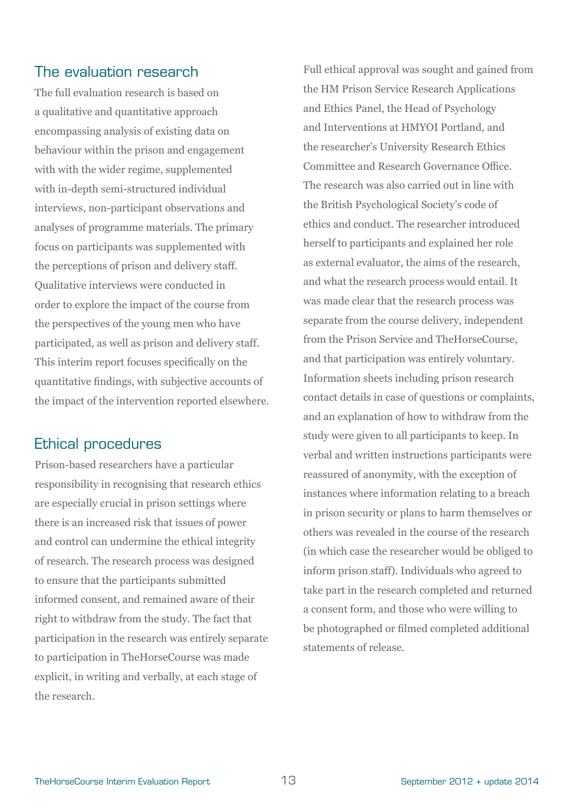## The evaluation research

The full evaluation research is based on a qualitative and quantitative approach encompassing analysis of existing data on behaviour within the prison and engagement with with the wider regime, supplemented with in-depth semi-structured individual interviews, non-participant observations and analyses of programme materials. The primary focus on participants was supplemented with the perceptions of prison and delivery staff. Qualitative interviews were conducted in order to explore the impact of the course from the perspectives of the young men who have participated, as well as prison and delivery staff. This interim report focuses specifically on the quantitative findings, with subjective accounts of the impact of the intervention reported elsewhere.

## Ethical procedures

Prison-based researchers have a particular responsibility in recognising that research ethics are especially crucial in prison settings where there is an increased risk that issues of power and control can undermine the ethical integrity of research. The research process was designed to ensure that the participants submitted informed consent, and remained aware of their right to withdraw from the study. The fact that participation in the research was entirely separate to participation in TheHorseCourse was made explicit, in writing and verbally, at each stage of the research.

Full ethical approval was sought and gained from the HM Prison Service Research Applications and Ethics Panel, the Head of Psychology and Interventions at HMYOI Portland, and the researcher's University Research Ethics Committee and Research Governance Office. The research was also carried out in line with the British Psychological Society's code of ethics and conduct. The researcher introduced herself to participants and explained her role as external evaluator, the aims of the research, and what the research process would entail. It was made clear that the research process was separate from the course delivery, independent from the Prison Service and TheHorseCourse, and that participation was entirely voluntary. Information sheets including prison research contact details in case of questions or complaints, and an explanation of how to withdraw from the study were given to all participants to keep. In verbal and written instructions participants were reassured of anonymity, with the exception of instances where information relating to a breach in prison security or plans to harm themselves or others was revealed in the course of the research (in which case the researcher would be obliged to inform prison staff). Individuals who agreed to take part in the research completed and returned a consent form, and those who were willing to be photographed or filmed completed additional statements of release.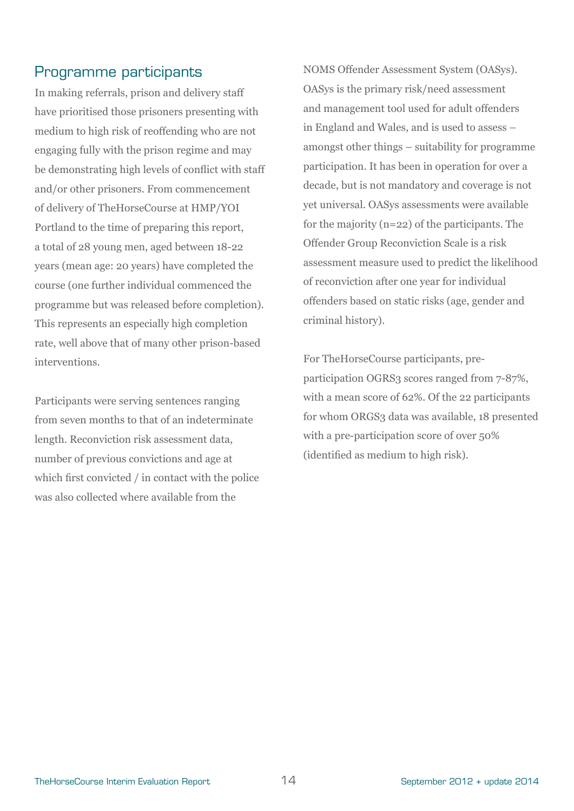## Programme participants

In making referrals, prison and delivery staff have prioritised those prisoners presenting with medium to high risk of reoffending who are not engaging fully with the prison regime and may be demonstrating high levels of conflict with staff and/or other prisoners. From commencement of delivery of TheHorseCourse at HMP/YOI Portland to the time of preparing this report, a total of 28 young men, aged between 18-22 years (mean age: 20 years) have completed the course (one further individual commenced the programme but was released before completion). This represents an especially high completion rate, well above that of many other prison-based interventions.

Participants were serving sentences ranging from seven months to that of an indeterminate length. Reconviction risk assessment data, number of previous convictions and age at which first convicted / in contact with the police was also collected where available from the

NOMS Offender Assessment System (OASys). OASys is the primary risk/need assessment and management tool used for adult offenders in England and Wales, and is used to assess – amongst other things – suitability for programme participation. It has been in operation for over a decade, but is not mandatory and coverage is not yet universal. OASys assessments were available for the majority (n=22) of the participants. The Offender Group Reconviction Scale is a risk assessment measure used to predict the likelihood of reconviction after one year for individual offenders based on static risks (age, gender and criminal history).

For TheHorseCourse participants, preparticipation OGRS3 scores ranged from 7-87%, with a mean score of 62%. Of the 22 participants for whom ORGS3 data was available, 18 presented with a pre-participation score of over 50% (identified as medium to high risk).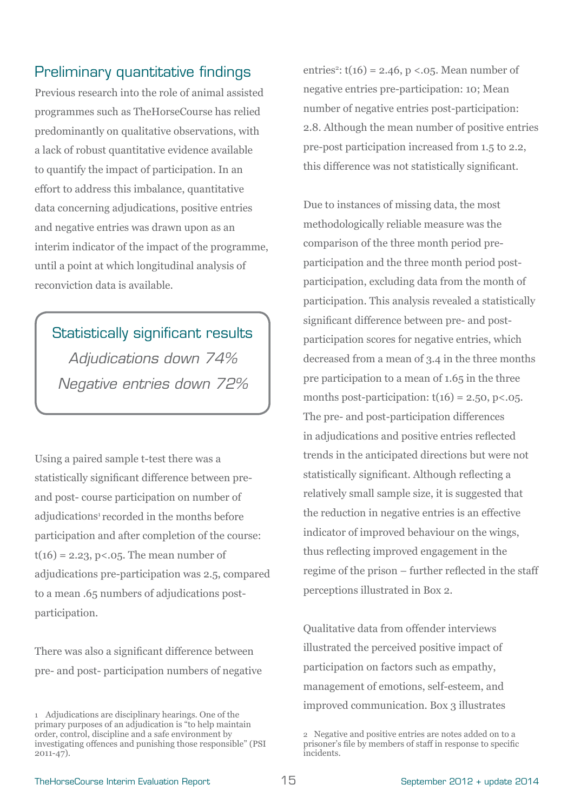## Preliminary quantitative findings

Previous research into the role of animal assisted programmes such as TheHorseCourse has relied predominantly on qualitative observations, with a lack of robust quantitative evidence available to quantify the impact of participation. In an effort to address this imbalance, quantitative data concerning adjudications, positive entries and negative entries was drawn upon as an interim indicator of the impact of the programme, until a point at which longitudinal analysis of reconviction data is available.

Statistically significant results *Adjudications down 74% Negative entries down 72%*

Using a paired sample t-test there was a statistically significant difference between preand post- course participation on number of adjudications<sup>1</sup> recorded in the months before participation and after completion of the course:  $t(16) = 2.23, p < .05$ . The mean number of adjudications pre-participation was 2.5, compared to a mean .65 numbers of adjudications postparticipation.

There was also a significant difference between pre- and post- participation numbers of negative

entries<sup>2</sup>:  $t(16) = 2.46$ ,  $p < 0.05$ . Mean number of negative entries pre-participation: 10; Mean number of negative entries post-participation: 2.8. Although the mean number of positive entries pre-post participation increased from 1.5 to 2.2, this difference was not statistically significant.

Due to instances of missing data, the most methodologically reliable measure was the comparison of the three month period preparticipation and the three month period postparticipation, excluding data from the month of participation. This analysis revealed a statistically significant difference between pre- and postparticipation scores for negative entries, which decreased from a mean of 3.4 in the three months pre participation to a mean of 1.65 in the three months post-participation:  $t(16) = 2.50$ ,  $p < 0.05$ . The pre- and post-participation differences in adjudications and positive entries reflected trends in the anticipated directions but were not statistically significant. Although reflecting a relatively small sample size, it is suggested that the reduction in negative entries is an effective indicator of improved behaviour on the wings, thus reflecting improved engagement in the regime of the prison – further reflected in the staff perceptions illustrated in Box 2.

Qualitative data from offender interviews illustrated the perceived positive impact of participation on factors such as empathy, management of emotions, self-esteem, and improved communication. Box 3 illustrates

<sup>1</sup> Adjudications are disciplinary hearings. One of the primary purposes of an adjudication is "to help maintain order, control, discipline and a safe environment by investigating offences and punishing those responsible" (PSI 2011-47).

<sup>2</sup> Negative and positive entries are notes added on to a prisoner's file by members of staff in response to specific incidents.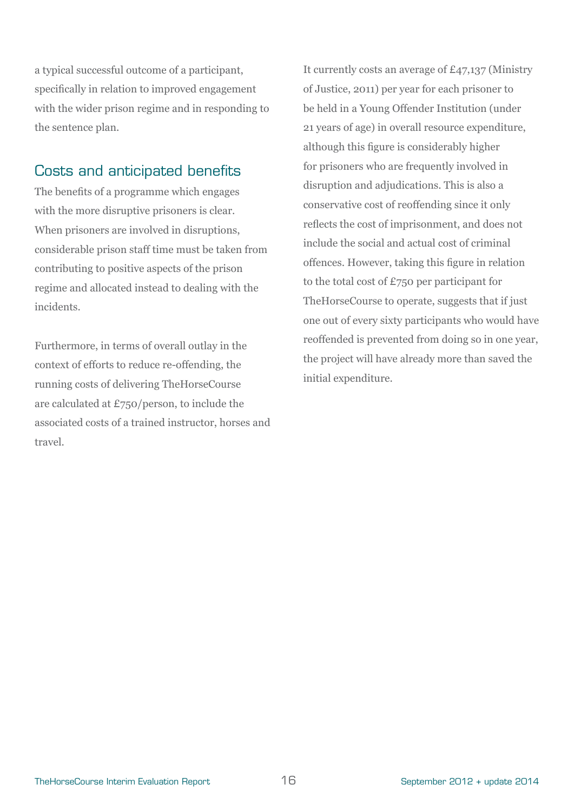a typical successful outcome of a participant, specifically in relation to improved engagement with the wider prison regime and in responding to the sentence plan.

## Costs and anticipated benefits

The benefits of a programme which engages with the more disruptive prisoners is clear. When prisoners are involved in disruptions, considerable prison staff time must be taken from contributing to positive aspects of the prison regime and allocated instead to dealing with the incidents.

Furthermore, in terms of overall outlay in the context of efforts to reduce re-offending, the running costs of delivering TheHorseCourse are calculated at £750/person, to include the associated costs of a trained instructor, horses and travel.

It currently costs an average of £47,137 (Ministry of Justice, 2011) per year for each prisoner to be held in a Young Offender Institution (under 21 years of age) in overall resource expenditure, although this figure is considerably higher for prisoners who are frequently involved in disruption and adjudications. This is also a conservative cost of reoffending since it only reflects the cost of imprisonment, and does not include the social and actual cost of criminal offences. However, taking this figure in relation to the total cost of £750 per participant for TheHorseCourse to operate, suggests that if just one out of every sixty participants who would have reoffended is prevented from doing so in one year, the project will have already more than saved the initial expenditure.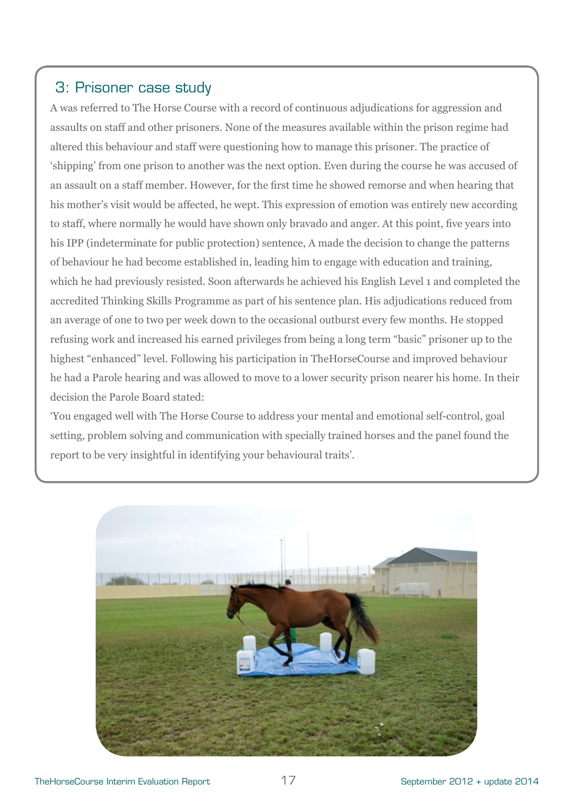## 3: Prisoner case study

A was referred to The Horse Course with a record of continuous adjudications for aggression and assaults on staff and other prisoners. None of the measures available within the prison regime had altered this behaviour and staff were questioning how to manage this prisoner. The practice of 'shipping' from one prison to another was the next option. Even during the course he was accused of an assault on a staff member. However, for the first time he showed remorse and when hearing that his mother's visit would be affected, he wept. This expression of emotion was entirely new according to staff, where normally he would have shown only bravado and anger. At this point, five years into his IPP (indeterminate for public protection) sentence, A made the decision to change the patterns of behaviour he had become established in, leading him to engage with education and training, which he had previously resisted. Soon afterwards he achieved his English Level 1 and completed the accredited Thinking Skills Programme as part of his sentence plan. His adjudications reduced from an average of one to two per week down to the occasional outburst every few months. He stopped refusing work and increased his earned privileges from being a long term "basic" prisoner up to the highest "enhanced" level. Following his participation in TheHorseCourse and improved behaviour he had a Parole hearing and was allowed to move to a lower security prison nearer his home. In their decision the Parole Board stated:

'You engaged well with The Horse Course to address your mental and emotional self-control, goal setting, problem solving and communication with specially trained horses and the panel found the report to be very insightful in identifying your behavioural traits'.

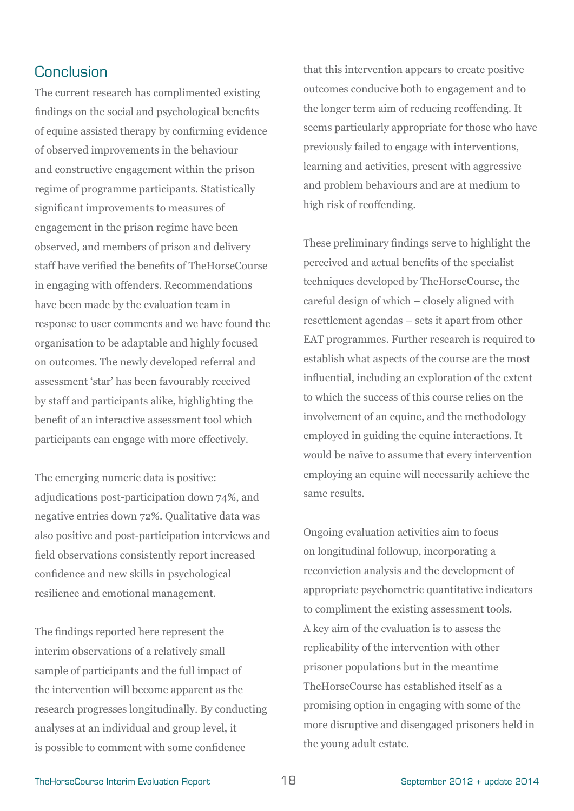## **Conclusion**

The current research has complimented existing findings on the social and psychological benefits of equine assisted therapy by confirming evidence of observed improvements in the behaviour and constructive engagement within the prison regime of programme participants. Statistically significant improvements to measures of engagement in the prison regime have been observed, and members of prison and delivery staff have verified the benefits of TheHorseCourse in engaging with offenders. Recommendations have been made by the evaluation team in response to user comments and we have found the organisation to be adaptable and highly focused on outcomes. The newly developed referral and assessment 'star' has been favourably received by staff and participants alike, highlighting the benefit of an interactive assessment tool which participants can engage with more effectively.

The emerging numeric data is positive: adjudications post-participation down 74%, and negative entries down 72%. Qualitative data was also positive and post-participation interviews and field observations consistently report increased confidence and new skills in psychological resilience and emotional management.

The findings reported here represent the interim observations of a relatively small sample of participants and the full impact of the intervention will become apparent as the research progresses longitudinally. By conducting analyses at an individual and group level, it is possible to comment with some confidence

that this intervention appears to create positive outcomes conducive both to engagement and to the longer term aim of reducing reoffending. It seems particularly appropriate for those who have previously failed to engage with interventions, learning and activities, present with aggressive and problem behaviours and are at medium to high risk of reoffending.

These preliminary findings serve to highlight the perceived and actual benefits of the specialist techniques developed by TheHorseCourse, the careful design of which – closely aligned with resettlement agendas – sets it apart from other EAT programmes. Further research is required to establish what aspects of the course are the most influential, including an exploration of the extent to which the success of this course relies on the involvement of an equine, and the methodology employed in guiding the equine interactions. It would be naïve to assume that every intervention employing an equine will necessarily achieve the same results.

Ongoing evaluation activities aim to focus on longitudinal followup, incorporating a reconviction analysis and the development of appropriate psychometric quantitative indicators to compliment the existing assessment tools. A key aim of the evaluation is to assess the replicability of the intervention with other prisoner populations but in the meantime TheHorseCourse has established itself as a promising option in engaging with some of the more disruptive and disengaged prisoners held in the young adult estate.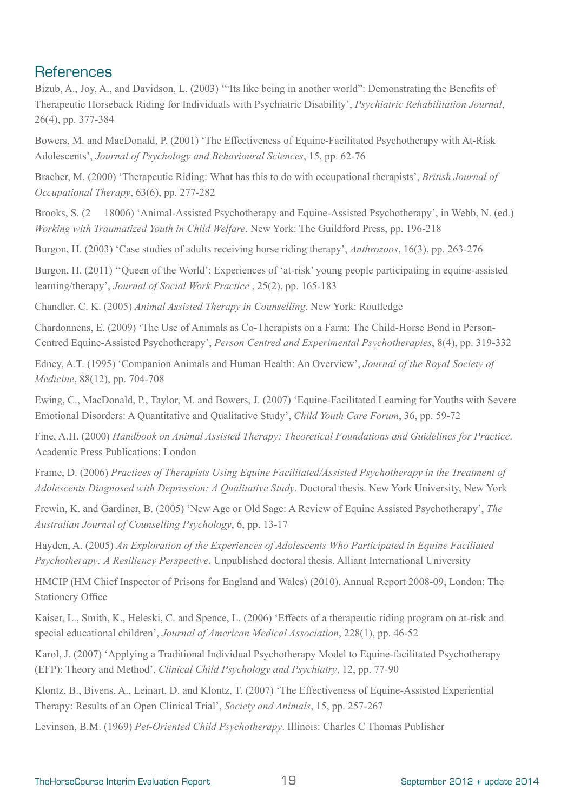## **References**

Bizub, A., Joy, A., and Davidson, L. (2003) '"Its like being in another world": Demonstrating the Benefits of Therapeutic Horseback Riding for Individuals with Psychiatric Disability', *Psychiatric Rehabilitation Journal*, 26(4), pp. 377-384

Bowers, M. and MacDonald, P. (2001) 'The Effectiveness of Equine-Facilitated Psychotherapy with At-Risk Adolescents', *Journal of Psychology and Behavioural Sciences*, 15, pp. 62-76

Bracher, M. (2000) 'Therapeutic Riding: What has this to do with occupational therapists', *British Journal of Occupational Therapy*, 63(6), pp. 277-282

Brooks, S. (2 18006) 'Animal-Assisted Psychotherapy and Equine-Assisted Psychotherapy', in Webb, N. (ed.) *Working with Traumatized Youth in Child Welfare*. New York: The Guildford Press, pp. 196-218

Burgon, H. (2003) 'Case studies of adults receiving horse riding therapy', *Anthrozoos*, 16(3), pp. 263-276

Burgon, H. (2011) ''Queen of the World': Experiences of 'at-risk' young people participating in equine-assisted learning/therapy', *Journal of Social Work Practice* , 25(2), pp. 165-183

Chandler, C. K. (2005) *Animal Assisted Therapy in Counselling*. New York: Routledge

Chardonnens, E. (2009) 'The Use of Animals as Co-Therapists on a Farm: The Child-Horse Bond in Person-Centred Equine-Assisted Psychotherapy', *Person Centred and Experimental Psychotherapies*, 8(4), pp. 319-332

Edney, A.T. (1995) 'Companion Animals and Human Health: An Overview', *Journal of the Royal Society of Medicine*, 88(12), pp. 704-708

Ewing, C., MacDonald, P., Taylor, M. and Bowers, J. (2007) 'Equine-Facilitated Learning for Youths with Severe Emotional Disorders: A Quantitative and Qualitative Study', *Child Youth Care Forum*, 36, pp. 59-72

Fine, A.H. (2000) *Handbook on Animal Assisted Therapy: Theoretical Foundations and Guidelines for Practice*. Academic Press Publications: London

Frame, D. (2006) *Practices of Therapists Using Equine Facilitated/Assisted Psychotherapy in the Treatment of Adolescents Diagnosed with Depression: A Qualitative Study*. Doctoral thesis. New York University, New York

Frewin, K. and Gardiner, B. (2005) 'New Age or Old Sage: A Review of Equine Assisted Psychotherapy', *The Australian Journal of Counselling Psychology*, 6, pp. 13-17

Hayden, A. (2005) *An Exploration of the Experiences of Adolescents Who Participated in Equine Faciliated Psychotherapy: A Resiliency Perspective*. Unpublished doctoral thesis. Alliant International University

HMCIP (HM Chief Inspector of Prisons for England and Wales) (2010). Annual Report 2008-09, London: The Stationery Office

Kaiser, L., Smith, K., Heleski, C. and Spence, L. (2006) 'Effects of a therapeutic riding program on at-risk and special educational children', *Journal of American Medical Association*, 228(1), pp. 46-52

Karol, J. (2007) 'Applying a Traditional Individual Psychotherapy Model to Equine-facilitated Psychotherapy (EFP): Theory and Method', *Clinical Child Psychology and Psychiatry*, 12, pp. 77-90

Klontz, B., Bivens, A., Leinart, D. and Klontz, T. (2007) 'The Effectiveness of Equine-Assisted Experiential Therapy: Results of an Open Clinical Trial', *Society and Animals*, 15, pp. 257-267

Levinson, B.M. (1969) *Pet-Oriented Child Psychotherapy*. Illinois: Charles C Thomas Publisher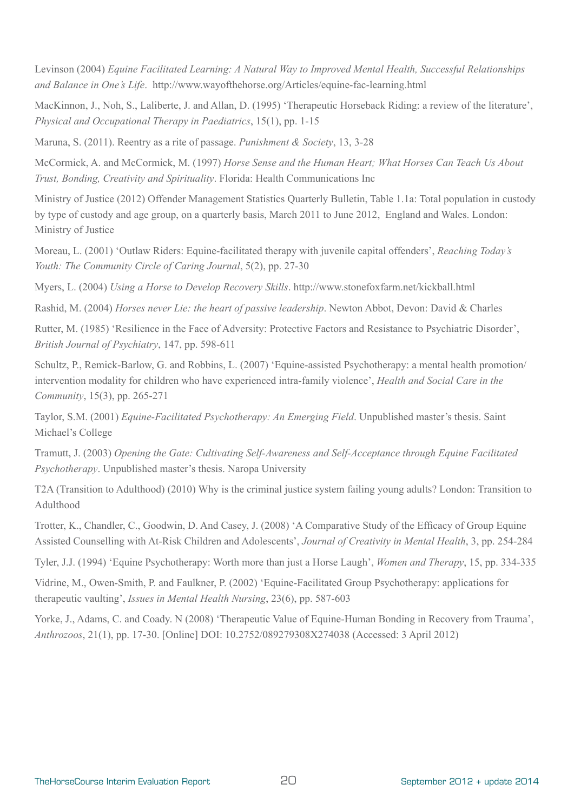Levinson (2004) *Equine Facilitated Learning: A Natural Way to Improved Mental Health, Successful Relationships and Balance in One's Life*. http://www.wayofthehorse.org/Articles/equine-fac-learning.html

MacKinnon, J., Noh, S., Laliberte, J. and Allan, D. (1995) 'Therapeutic Horseback Riding: a review of the literature', *Physical and Occupational Therapy in Paediatrics*, 15(1), pp. 1-15

Maruna, S. (2011). Reentry as a rite of passage. *Punishment & Society*, 13, 3-28

McCormick, A. and McCormick, M. (1997) *Horse Sense and the Human Heart; What Horses Can Teach Us About Trust, Bonding, Creativity and Spirituality*. Florida: Health Communications Inc

Ministry of Justice (2012) Offender Management Statistics Quarterly Bulletin, Table 1.1a: Total population in custody by type of custody and age group, on a quarterly basis, March 2011 to June 2012, England and Wales. London: Ministry of Justice

Moreau, L. (2001) 'Outlaw Riders: Equine-facilitated therapy with juvenile capital offenders', *Reaching Today's Youth: The Community Circle of Caring Journal*, 5(2), pp. 27-30

Myers, L. (2004) *Using a Horse to Develop Recovery Skills*. http://www.stonefoxfarm.net/kickball.html

Rashid, M. (2004) *Horses never Lie: the heart of passive leadership*. Newton Abbot, Devon: David & Charles

Rutter, M. (1985) 'Resilience in the Face of Adversity: Protective Factors and Resistance to Psychiatric Disorder', *British Journal of Psychiatry*, 147, pp. 598-611

Schultz, P., Remick-Barlow, G. and Robbins, L. (2007) 'Equine-assisted Psychotherapy: a mental health promotion/ intervention modality for children who have experienced intra-family violence', *Health and Social Care in the Community*, 15(3), pp. 265-271

Taylor, S.M. (2001) *Equine-Facilitated Psychotherapy: An Emerging Field*. Unpublished master's thesis. Saint Michael's College

Tramutt, J. (2003) *Opening the Gate: Cultivating Self-Awareness and Self-Acceptance through Equine Facilitated Psychotherapy*. Unpublished master's thesis. Naropa University

T2A (Transition to Adulthood) (2010) Why is the criminal justice system failing young adults? London: Transition to Adulthood

Trotter, K., Chandler, C., Goodwin, D. And Casey, J. (2008) 'A Comparative Study of the Efficacy of Group Equine Assisted Counselling with At-Risk Children and Adolescents', *Journal of Creativity in Mental Health*, 3, pp. 254-284

Tyler, J.J. (1994) 'Equine Psychotherapy: Worth more than just a Horse Laugh', *Women and Therapy*, 15, pp. 334-335

Vidrine, M., Owen-Smith, P. and Faulkner, P. (2002) 'Equine-Facilitated Group Psychotherapy: applications for therapeutic vaulting', *Issues in Mental Health Nursing*, 23(6), pp. 587-603

Yorke, J., Adams, C. and Coady. N (2008) 'Therapeutic Value of Equine-Human Bonding in Recovery from Trauma', *Anthrozoos*, 21(1), pp. 17-30. [Online] DOI: 10.2752/089279308X274038 (Accessed: 3 April 2012)